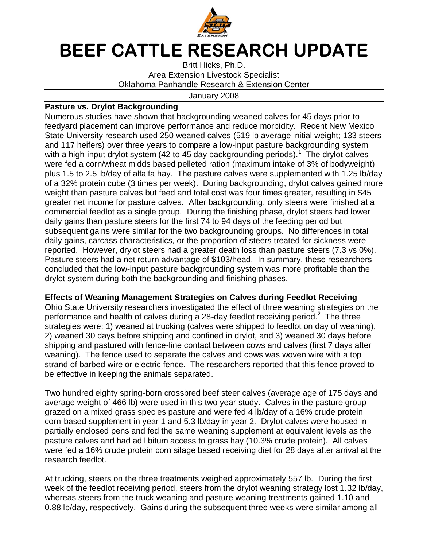

## **BEEF CATTLE RESEARCH UPDATE**

Britt Hicks, Ph.D. Area Extension Livestock Specialist Oklahoma Panhandle Research & Extension Center

## January 2008

## **Pasture vs. Drylot Backgrounding**

Numerous studies have shown that backgrounding weaned calves for 45 days prior to feedyard placement can improve performance and reduce morbidity. Recent New Mexico State University research used 250 weaned calves (519 lb average initial weight; 133 steers and 117 heifers) over three years to compare a low-input pasture backgrounding system with a high-input drylot system (42 to 45 day backgrounding periods).<sup>1</sup> The drylot calves were fed a corn/wheat midds based pelleted ration (maximum intake of 3% of bodyweight) plus 1.5 to 2.5 lb/day of alfalfa hay. The pasture calves were supplemented with 1.25 lb/day of a 32% protein cube (3 times per week). During backgrounding, drylot calves gained more weight than pasture calves but feed and total cost was four times greater, resulting in \$45 greater net income for pasture calves. After backgrounding, only steers were finished at a commercial feedlot as a single group. During the finishing phase, drylot steers had lower daily gains than pasture steers for the first 74 to 94 days of the feeding period but subsequent gains were similar for the two backgrounding groups. No differences in total daily gains, carcass characteristics, or the proportion of steers treated for sickness were reported. However, drylot steers had a greater death loss than pasture steers (7.3 vs 0%). Pasture steers had a net return advantage of \$103/head. In summary, these researchers concluded that the low-input pasture backgrounding system was more profitable than the drylot system during both the backgrounding and finishing phases.

## **Effects of Weaning Management Strategies on Calves during Feedlot Receiving**

Ohio State University researchers investigated the effect of three weaning strategies on the performance and health of calves during a 28-day feedlot receiving period. $2$  The three strategies were: 1) weaned at trucking (calves were shipped to feedlot on day of weaning), 2) weaned 30 days before shipping and confined in drylot, and 3) weaned 30 days before shipping and pastured with fence-line contact between cows and calves (first 7 days after weaning). The fence used to separate the calves and cows was woven wire with a top strand of barbed wire or electric fence. The researchers reported that this fence proved to be effective in keeping the animals separated.

Two hundred eighty spring-born crossbred beef steer calves (average age of 175 days and average weight of 466 lb) were used in this two year study. Calves in the pasture group grazed on a mixed grass species pasture and were fed 4 lb/day of a 16% crude protein corn-based supplement in year 1 and 5.3 lb/day in year 2. Drylot calves were housed in partially enclosed pens and fed the same weaning supplement at equivalent levels as the pasture calves and had ad libitum access to grass hay (10.3% crude protein). All calves were fed a 16% crude protein corn silage based receiving diet for 28 days after arrival at the research feedlot.

At trucking, steers on the three treatments weighed approximately 557 lb. During the first week of the feedlot receiving period, steers from the drylot weaning strategy lost 1.32 lb/day, whereas steers from the truck weaning and pasture weaning treatments gained 1.10 and 0.88 lb/day, respectively. Gains during the subsequent three weeks were similar among all